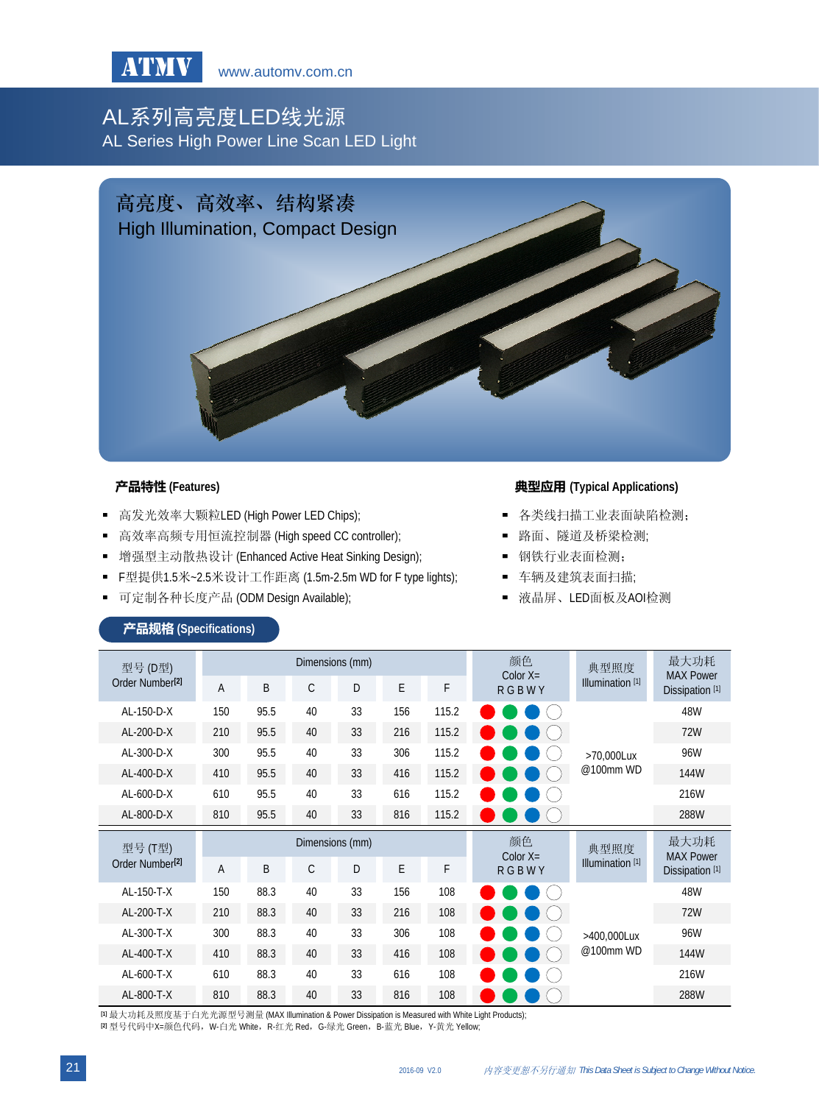

# AL系列高亮度LED线光源 AL Series High Power Line Scan LED Light



- 高发光效率大颗粒LED (High Power LED Chips);
- 高效率高频专用恒流控制器 (High speed CC controller);
- 增强型主动散热设计 (Enhanced Active Heat Sinking Design);
- F型提供1.5米~2.5米设计工作距离 (1.5m-2.5m WD for F type lights);
- 可定制各种长度产品 (ODM Design Available);

### **产品特性** (Features) **All and Applications** (Typical Applications)

- 各类线扫描工业表面缺陷检测;
- 路面、隧道及桥梁检测;
- 钢铁行业表面检测;
- 车辆及建筑表面扫描;
- 液晶屏、LED面板及AOI检测

| 型号 (D型)<br>Order Number <sup>[2]</sup> | Dimensions (mm) |      |    |    |     |       | 颜色<br>Color $X=$           | 典型照度                        | 最大功耗<br><b>MAX Power</b>                       |
|----------------------------------------|-----------------|------|----|----|-----|-------|----------------------------|-----------------------------|------------------------------------------------|
|                                        | A               | B    | C  | D  | E   | F     | <b>RGBWY</b>               | Illumination <sup>[1]</sup> | Dissipation <sup>[1]</sup>                     |
| AL-150-D-X                             | 150             | 95.5 | 40 | 33 | 156 | 115.2 |                            | >70.000Lux<br>@100mm WD     | 48W                                            |
| AL-200-D-X                             | 210             | 95.5 | 40 | 33 | 216 | 115.2 |                            |                             | <b>72W</b>                                     |
| AL-300-D-X                             | 300             | 95.5 | 40 | 33 | 306 | 115.2 |                            |                             | 96W                                            |
| AL-400-D-X                             | 410             | 95.5 | 40 | 33 | 416 | 115.2 |                            |                             | 144W                                           |
| $AL-600-D-X$                           | 610             | 95.5 | 40 | 33 | 616 | 115.2 |                            |                             | 216W                                           |
| AL-800-D-X                             | 810             | 95.5 | 40 | 33 | 816 | 115.2 |                            |                             | 288W                                           |
| 型号 (T型)                                | Dimensions (mm) |      |    |    |     |       |                            |                             |                                                |
|                                        |                 |      |    |    |     |       | 颜色                         | 典型照度                        | 最大功耗                                           |
| Order Number <sup>[2]</sup>            | $\overline{A}$  | B    | C  | D  | E   | F     | Color $X=$<br><b>RGBWY</b> | Illumination <sup>[1]</sup> | <b>MAX Power</b><br>Dissipation <sup>[1]</sup> |
| AL-150-T-X                             | 150             | 88.3 | 40 | 33 | 156 | 108   |                            |                             | 48W                                            |
| AL-200-T-X                             | 210             | 88.3 | 40 | 33 | 216 | 108   |                            |                             | 72W                                            |
| AL-300-T-X                             | 300             | 88.3 | 40 | 33 | 306 | 108   |                            | >400,000Lux                 | 96W                                            |
| AL-400-T-X                             | 410             | 88.3 | 40 | 33 | 416 | 108   |                            | @100mm WD                   | 144W                                           |
| AL-600-T-X                             | 610             | 88.3 | 40 | 33 | 616 | 108   |                            |                             | 216W                                           |

产品规格 **(Specifications)**

**[1]** 最大功耗及照度基于白光光源型号测量 (MAX Illumination & Power Dissipation is Measured with White Light Products); **[2] 型号代码中X=颜色代码, W-白光 White, R-红光 Red, G-绿光 Green, B-蓝光 Blue, Y-黄光 Yellow;**